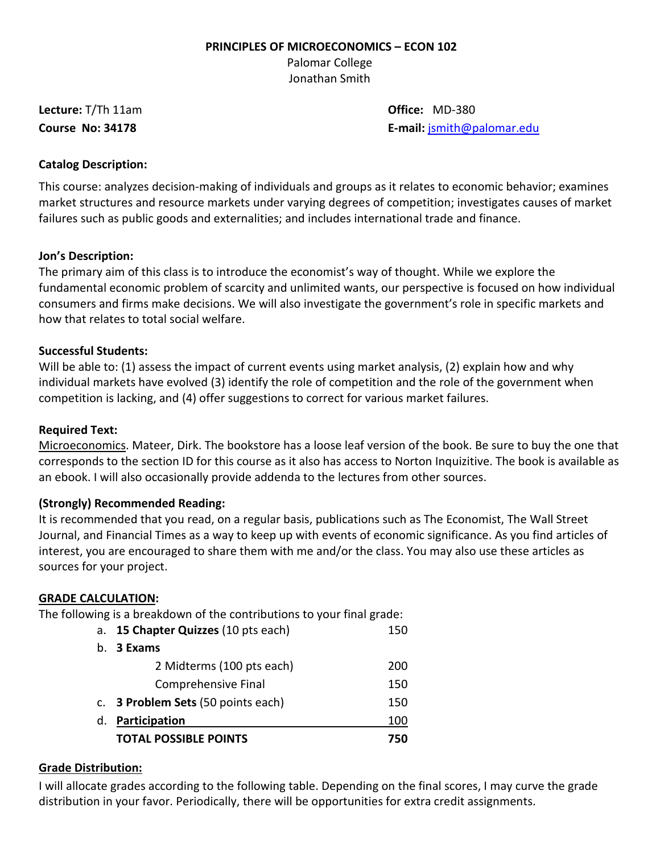#### **PRINCIPLES OF MICROECONOMICS – ECON 102**

Palomar College Jonathan Smith

**Lecture:** T/Th 11am **Office:** MD-380

**Course No: 34178 E-mail:** [jsmith@palomar.edu](mailto:jsmith@palomar.edu)

# **Catalog Description:**

This course: analyzes decision-making of individuals and groups as it relates to economic behavior; examines market structures and resource markets under varying degrees of competition; investigates causes of market failures such as public goods and externalities; and includes international trade and finance.

### **Jon's Description:**

The primary aim of this class is to introduce the economist's way of thought. While we explore the fundamental economic problem of scarcity and unlimited wants, our perspective is focused on how individual consumers and firms make decisions. We will also investigate the government's role in specific markets and how that relates to total social welfare.

### **Successful Students:**

Will be able to: (1) assess the impact of current events using market analysis, (2) explain how and why individual markets have evolved (3) identify the role of competition and the role of the government when competition is lacking, and (4) offer suggestions to correct for various market failures.

## **Required Text:**

Microeconomics. Mateer, Dirk. The bookstore has a loose leaf version of the book. Be sure to buy the one that corresponds to the section ID for this course as it also has access to Norton Inquizitive. The book is available as an ebook. I will also occasionally provide addenda to the lectures from other sources.

# **(Strongly) Recommended Reading:**

It is recommended that you read, on a regular basis, publications such as The Economist, The Wall Street Journal, and Financial Times as a way to keep up with events of economic significance. As you find articles of interest, you are encouraged to share them with me and/or the class. You may also use these articles as sources for your project.

### **GRADE CALCULATION:**

The following is a breakdown of the contributions to your final grade:

| а. | 15 Chapter Quizzes (10 pts each)          | 150 |
|----|-------------------------------------------|-----|
|    | b. 3 Exams                                |     |
|    | 2 Midterms (100 pts each)                 | 200 |
|    | Comprehensive Final                       | 150 |
|    | c. <b>3 Problem Sets</b> (50 points each) | 150 |
| d. | Participation                             | 100 |
|    | <b>TOTAL POSSIBLE POINTS</b>              | 750 |

### **Grade Distribution:**

I will allocate grades according to the following table. Depending on the final scores, I may curve the grade distribution in your favor. Periodically, there will be opportunities for extra credit assignments.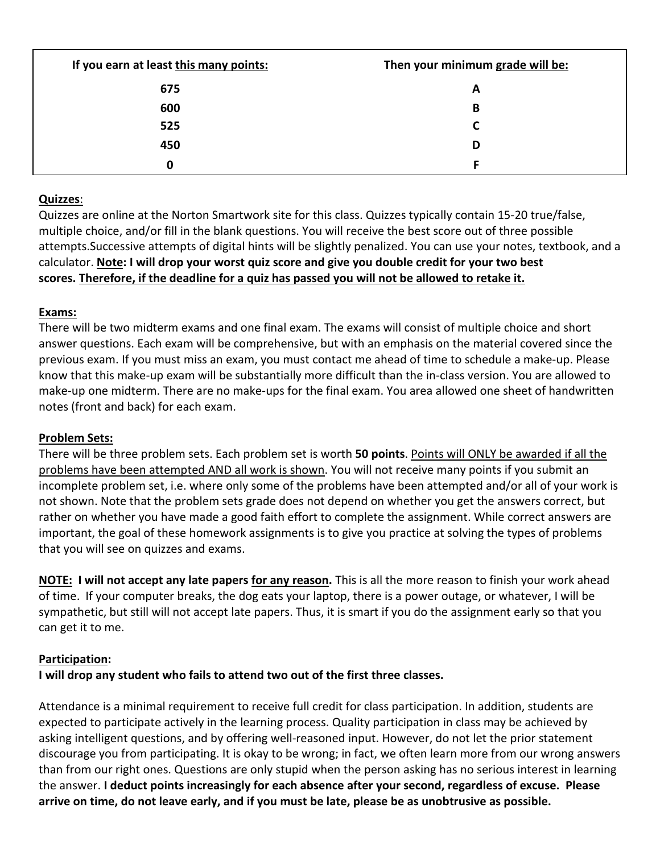| If you earn at least this many points: | Then your minimum grade will be: |  |
|----------------------------------------|----------------------------------|--|
| 675                                    | A                                |  |
| 600                                    | B                                |  |
| 525                                    | r                                |  |
| 450                                    | D                                |  |
| 0                                      |                                  |  |

# **Quizzes**:

Quizzes are online at the Norton Smartwork site for this class. Quizzes typically contain 15-20 true/false, multiple choice, and/or fill in the blank questions. You will receive the best score out of three possible attempts.Successive attempts of digital hints will be slightly penalized. You can use your notes, textbook, and a calculator. **Note: I will drop your worst quiz score and give you double credit for your two best scores. Therefore, if the deadline for a quiz has passed you will not be allowed to retake it.**

# **Exams:**

There will be two midterm exams and one final exam. The exams will consist of multiple choice and short answer questions. Each exam will be comprehensive, but with an emphasis on the material covered since the previous exam. If you must miss an exam, you must contact me ahead of time to schedule a make-up. Please know that this make-up exam will be substantially more difficult than the in-class version. You are allowed to make-up one midterm. There are no make-ups for the final exam. You area allowed one sheet of handwritten notes (front and back) for each exam.

# **Problem Sets:**

There will be three problem sets. Each problem set is worth **50 points**. Points will ONLY be awarded if all the problems have been attempted AND all work is shown. You will not receive many points if you submit an incomplete problem set, i.e. where only some of the problems have been attempted and/or all of your work is not shown. Note that the problem sets grade does not depend on whether you get the answers correct, but rather on whether you have made a good faith effort to complete the assignment. While correct answers are important, the goal of these homework assignments is to give you practice at solving the types of problems that you will see on quizzes and exams.

**NOTE: I will not accept any late papers for any reason.** This is all the more reason to finish your work ahead of time. If your computer breaks, the dog eats your laptop, there is a power outage, or whatever, I will be sympathetic, but still will not accept late papers. Thus, it is smart if you do the assignment early so that you can get it to me.

### **Participation:**

**I will drop any student who fails to attend two out of the first three classes.**

Attendance is a minimal requirement to receive full credit for class participation. In addition, students are expected to participate actively in the learning process. Quality participation in class may be achieved by asking intelligent questions, and by offering well-reasoned input. However, do not let the prior statement discourage you from participating. It is okay to be wrong; in fact, we often learn more from our wrong answers than from our right ones. Questions are only stupid when the person asking has no serious interest in learning the answer. **I deduct points increasingly for each absence after your second, regardless of excuse. Please arrive on time, do not leave early, and if you must be late, please be as unobtrusive as possible.**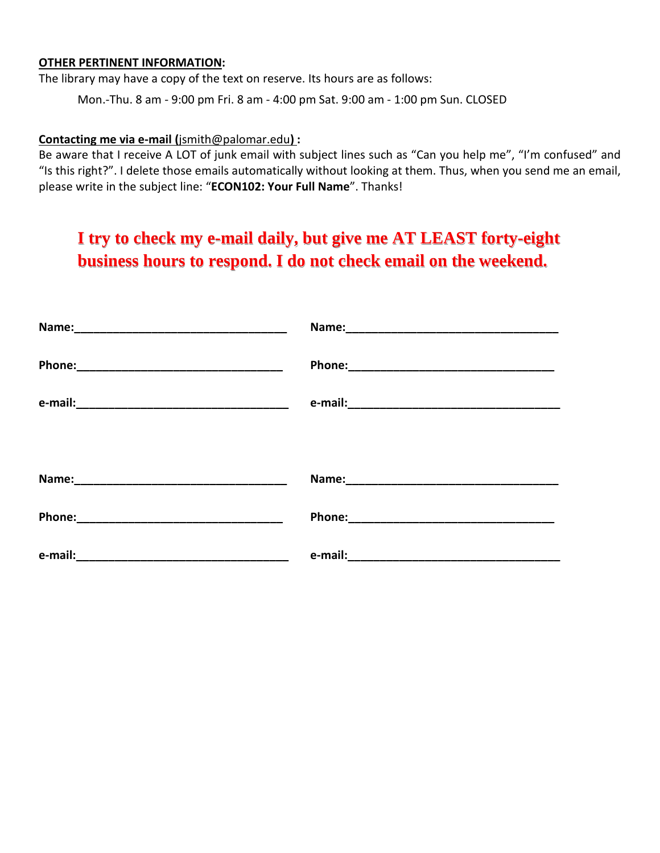#### **OTHER PERTINENT INFORMATION:**

The library may have a copy of the text on reserve. Its hours are as follows:

Mon.-Thu. 8 am - 9:00 pm Fri. 8 am - 4:00 pm Sat. 9:00 am - 1:00 pm Sun. CLOSED

#### **Contacting me via e-mail (**jsmith@palomar.edu**) :**

Be aware that I receive A LOT of junk email with subject lines such as "Can you help me", "I'm confused" and "Is this right?". I delete those emails automatically without looking at them. Thus, when you send me an email, please write in the subject line: "**ECON102: Your Full Name**". Thanks!

# **I try to check my e-mail daily, but give me AT LEAST forty-eight business hours to respond. I do not check email on the weekend.**

| Name: 2008 2010 2021 2022 2023 2024 2022 2022 2023 2024 2022 2023 2024 2022 2023 2024 2022 2023 2024 2022 2023 | Name: 2008 2010 2021 2022 2023 2024 2022 2022 2023 2024 2022 2023 2024 2022 2023 2024 2022 2023 2024 2022 2023                                                                                                                |
|----------------------------------------------------------------------------------------------------------------|-------------------------------------------------------------------------------------------------------------------------------------------------------------------------------------------------------------------------------|
|                                                                                                                |                                                                                                                                                                                                                               |
|                                                                                                                |                                                                                                                                                                                                                               |
|                                                                                                                |                                                                                                                                                                                                                               |
|                                                                                                                | Name: 2008 2010 2021 2022 2023 2024 2025 2022 2022 2022 2023 2024 2022 2023 2024 2022 2023 2024 2025 2026 2027                                                                                                                |
|                                                                                                                | Phone: Note: 2010 12:00 12:00 12:00 12:00 12:00 12:00 12:00 12:00 12:00 12:00 12:00 12:00 12:00 12:00 12:00 12:00 12:00 12:00 12:00 12:00 12:00 12:00 12:00 12:00 12:00 12:00 12:00 12:00 12:00 12:00 12:00 12:00 12:00 12:00 |
|                                                                                                                |                                                                                                                                                                                                                               |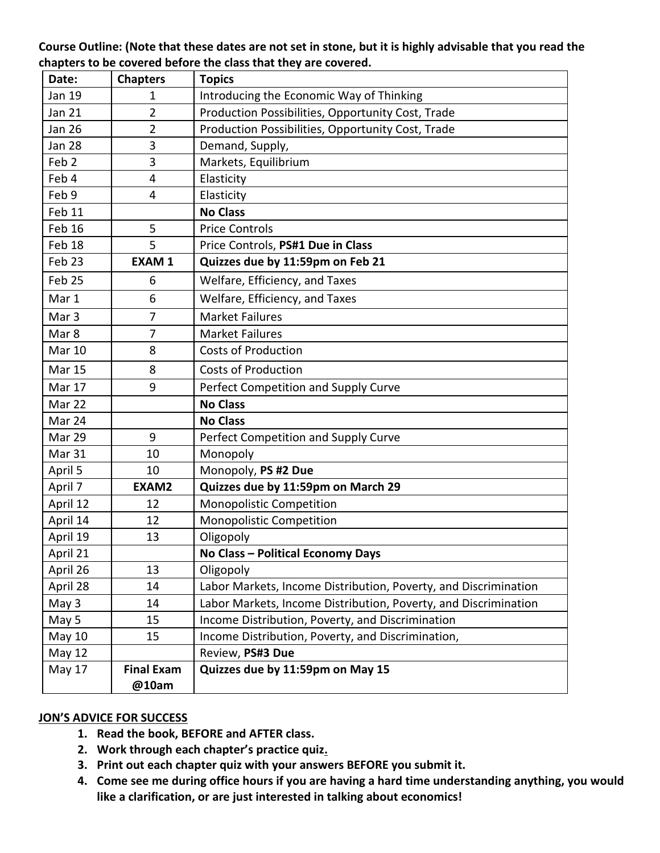# **Course Outline: (Note that these dates are not set in stone, but it is highly advisable that you read the chapters to be covered before the class that they are covered.**

| Date:            | <b>Chapters</b>            | <b>Topics</b>                                                   |
|------------------|----------------------------|-----------------------------------------------------------------|
| Jan 19           | 1                          | Introducing the Economic Way of Thinking                        |
| <b>Jan 21</b>    | $\overline{2}$             | Production Possibilities, Opportunity Cost, Trade               |
| <b>Jan 26</b>    | $\overline{2}$             | Production Possibilities, Opportunity Cost, Trade               |
| <b>Jan 28</b>    | 3                          | Demand, Supply,                                                 |
| Feb <sub>2</sub> | 3                          | Markets, Equilibrium                                            |
| Feb 4            | 4                          | Elasticity                                                      |
| Feb 9            | 4                          | Elasticity                                                      |
| Feb 11           |                            | <b>No Class</b>                                                 |
| Feb 16           | 5                          | <b>Price Controls</b>                                           |
| Feb 18           | 5                          | Price Controls, PS#1 Due in Class                               |
| Feb 23           | <b>EXAM1</b>               | Quizzes due by 11:59pm on Feb 21                                |
| Feb 25           | 6                          | Welfare, Efficiency, and Taxes                                  |
| Mar 1            | 6                          | Welfare, Efficiency, and Taxes                                  |
| Mar <sub>3</sub> | 7                          | <b>Market Failures</b>                                          |
| Mar 8            | 7                          | <b>Market Failures</b>                                          |
| <b>Mar 10</b>    | 8                          | <b>Costs of Production</b>                                      |
| <b>Mar 15</b>    | 8                          | <b>Costs of Production</b>                                      |
| Mar 17           | 9                          | Perfect Competition and Supply Curve                            |
| Mar 22           |                            | <b>No Class</b>                                                 |
| Mar 24           |                            | <b>No Class</b>                                                 |
| Mar 29           | 9                          | Perfect Competition and Supply Curve                            |
| Mar 31           | 10                         | Monopoly                                                        |
| April 5          | 10                         | Monopoly, PS #2 Due                                             |
| April 7          | EXAM2                      | Quizzes due by 11:59pm on March 29                              |
| April 12         | 12                         | <b>Monopolistic Competition</b>                                 |
| April 14         | 12                         | Monopolistic Competition                                        |
| April 19         | 13                         | Oligopoly                                                       |
| April 21         |                            | No Class - Political Economy Days                               |
| April 26         | 13                         | Oligopoly                                                       |
| April 28         | 14                         | Labor Markets, Income Distribution, Poverty, and Discrimination |
| May 3            | 14                         | Labor Markets, Income Distribution, Poverty, and Discrimination |
| May 5            | 15                         | Income Distribution, Poverty, and Discrimination                |
| May 10           | 15                         | Income Distribution, Poverty, and Discrimination,               |
| <b>May 12</b>    |                            | Review, PS#3 Due                                                |
| May 17           | <b>Final Exam</b><br>@10am | Quizzes due by 11:59pm on May 15                                |

# **JON'S ADVICE FOR SUCCESS**

- **1. Read the book, BEFORE and AFTER class.**
- **2. Work through each chapter's practice quiz.**
- **3. Print out each chapter quiz with your answers BEFORE you submit it.**
- **4. Come see me during office hours if you are having a hard time understanding anything, you would like a clarification, or are just interested in talking about economics!**